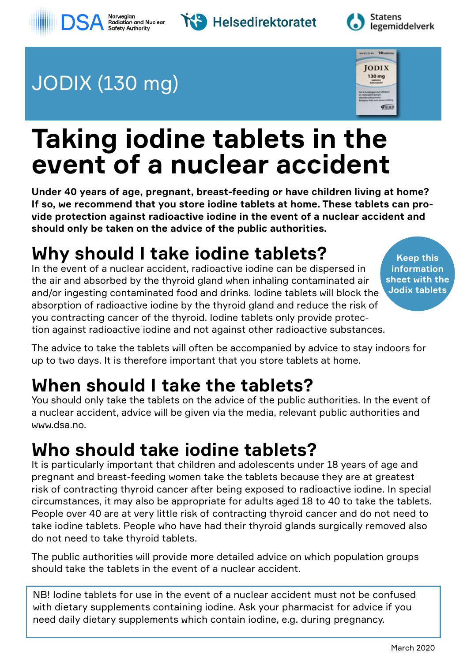







# JODIX (130 mg)



# **Taking iodine tablets in the event of a nuclear accident**

**Under 40 years of age, pregnant, breast-feeding or have children living at home? If so, we recommend that you store iodine tablets at home. These tablets can provide protection against radioactive iodine in the event of a nuclear accident and should only be taken on the advice of the public authorities.**

# **Why should I take iodine tablets?**

In the event of a nuclear accident, radioactive iodine can be dispersed in the air and absorbed by the thyroid gland when inhaling contaminated air and/or ingesting contaminated food and drinks. Iodine tablets will block the absorption of radioactive iodine by the thyroid gland and reduce the risk of you contracting cancer of the thyroid. Iodine tablets only provide protection against radioactive iodine and not against other radioactive substances.

**Keep this information sheet with the Jodix tablets**

The advice to take the tablets will often be accompanied by advice to stay indoors for up to two days. It is therefore important that you store tablets at home.

# **When should I take the tablets?**

You should only take the tablets on the advice of the public authorities. In the event of a nuclear accident, advice will be given via the media, relevant public authorities and www.dsa.no.

## **Who should take iodine tablets?**

It is particularly important that children and adolescents under 18 years of age and pregnant and breast-feeding women take the tablets because they are at greatest risk of contracting thyroid cancer after being exposed to radioactive iodine. In special circumstances, it may also be appropriate for adults aged 18 to 40 to take the tablets. People over 40 are at very little risk of contracting thyroid cancer and do not need to take iodine tablets. People who have had their thyroid glands surgically removed also do not need to take thyroid tablets.

The public authorities will provide more detailed advice on which population groups should take the tablets in the event of a nuclear accident.

NB! Iodine tablets for use in the event of a nuclear accident must not be confused with dietary supplements containing iodine. Ask your pharmacist for advice if you need daily dietary supplements which contain iodine, e.g. during pregnancy.